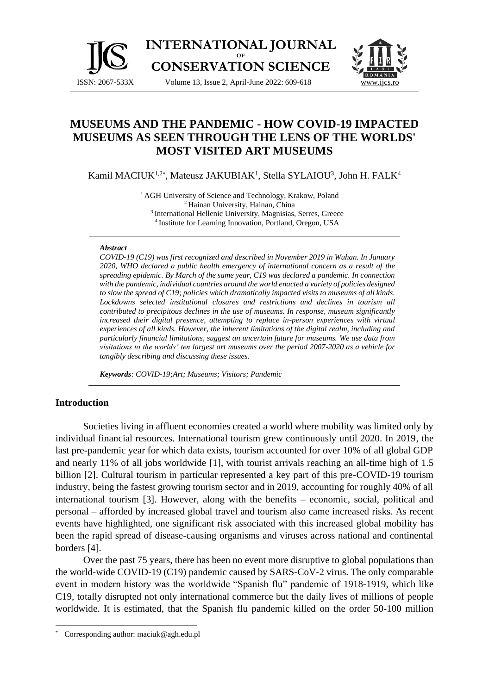

**INTERNATIONAL JOURNAL OF CONSERVATION SCIENCE**

Volume 13, Issue 2, April-June 2022: 609-618 [www.ijcs.ro](http://www.ijcs.ro/)



# **MUSEUMS AND THE PANDEMIC - HOW COVID-19 IMPACTED MUSEUMS AS SEEN THROUGH THE LENS OF THE WORLDS' MOST VISITED ART MUSEUMS**

Kamil MACIUK<sup>1,2\*</sup>, Mateusz JAKUBIAK<sup>1</sup>, Stella SYLAIOU<sup>3</sup>, John H. FALK<sup>4</sup>

<sup>1</sup> AGH University of Science and Technology, Krakow, Poland <sup>2</sup> Hainan University, Hainan, China <sup>3</sup> International Hellenic University, Magnisias, Serres, Greece 4 Institute for Learning Innovation, Portland, Oregon, USA

#### *Abstract*

*COVID-19 (C19) was first recognized and described in November 2019 in Wuhan. In January 2020, WHO declared a public health emergency of international concern as a result of the spreading epidemic. By March of the same year, C19 was declared a pandemic. In connection with the pandemic, individual countries around the world enacted a variety of policies designed to slow the spread of C19; policies which dramatically impacted visits to museums of all kinds. Lockdowns selected institutional closures and restrictions and declines in tourism all contributed to precipitous declines in the use of museums. In response, museum significantly increased their digital presence, attempting to replace in-person experiences with virtual experiences of all kinds. However, the inherent limitations of the digital realm, including and particularly financial limitations, suggest an uncertain future for museums. We use data from visitations to the worlds' ten largest art museums over the period 2007-2020 as a vehicle for tangibly describing and discussing these issues.*

*Keywords: COVID-19;Art; Museums; Visitors; Pandemic*

### **Introduction**

Societies living in affluent economies created a world where mobility was limited only by individual financial resources. International tourism grew continuously until 2020. In 2019, the last pre-pandemic year for which data exists, tourism accounted for over 10% of all global GDP and nearly 11% of all jobs worldwide [1], with tourist arrivals reaching an all-time high of 1.5 billion [2]. Cultural tourism in particular represented a key part of this pre-COVID-19 tourism industry, being the fastest growing tourism sector and in 2019, accounting for roughly 40% of all international tourism [3]. However, along with the benefits – economic, social, political and personal – afforded by increased global travel and tourism also came increased risks. As recent events have highlighted, one significant risk associated with this increased global mobility has been the rapid spread of disease-causing organisms and viruses across national and continental borders [4].

Over the past 75 years, there has been no event more disruptive to global populations than the world-wide COVID-19 (C19) pandemic caused by SARS-CoV-2 virus. The only comparable event in modern history was the worldwide "Spanish flu" pandemic of 1918-1919, which like C19, totally disrupted not only international commerce but the daily lives of millions of people worldwide. It is estimated, that the Spanish flu pandemic killed on the order 50-100 million

Corresponding author: maciuk@agh.edu.pl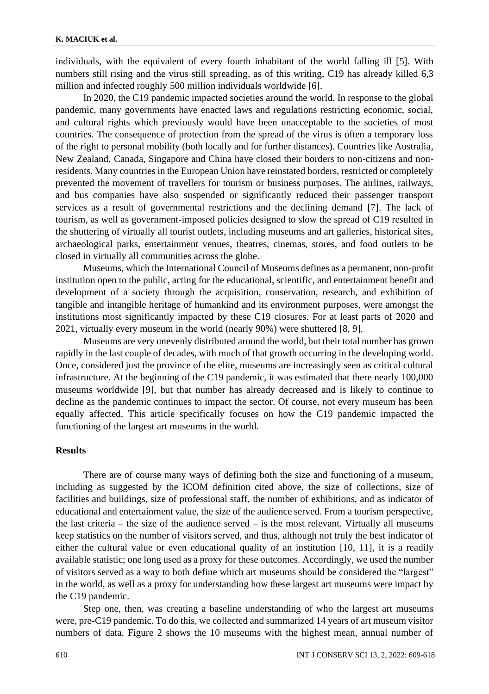individuals, with the equivalent of every fourth inhabitant of the world falling ill [5]. With numbers still rising and the virus still spreading, as of this writing, C19 has already killed 6,3 million and infected roughly 500 million individuals worldwide [6].

In 2020, the C19 pandemic impacted societies around the world. In response to the global pandemic, many governments have enacted laws and regulations restricting economic, social, and cultural rights which previously would have been unacceptable to the societies of most countries. The consequence of protection from the spread of the virus is often a temporary loss of the right to personal mobility (both locally and for further distances). Countries like Australia, New Zealand, Canada, Singapore and China have closed their borders to non-citizens and nonresidents. Many countries in the European Union have reinstated borders, restricted or completely prevented the movement of travellers for tourism or business purposes. The airlines, railways, and bus companies have also suspended or significantly reduced their passenger transport services as a result of governmental restrictions and the declining demand [7]. The lack of tourism, as well as government-imposed policies designed to slow the spread of C19 resulted in the shuttering of virtually all tourist outlets, including museums and art galleries, historical sites, archaeological parks, entertainment venues, theatres, cinemas, stores, and food outlets to be closed in virtually all communities across the globe.

Museums, which the International Council of Museums defines as a permanent, non-profit institution open to the public, acting for the educational, scientific, and entertainment benefit and development of a society through the acquisition, conservation, research, and exhibition of tangible and intangible heritage of humankind and its environment purposes, were amongst the institutions most significantly impacted by these C19 closures. For at least parts of 2020 and 2021, virtually every museum in the world (nearly 90%) were shuttered [8, 9].

Museums are very unevenly distributed around the world, but their total number has grown rapidly in the last couple of decades, with much of that growth occurring in the developing world. Once, considered just the province of the elite, museums are increasingly seen as critical cultural infrastructure. At the beginning of the C19 pandemic, it was estimated that there nearly 100,000 museums worldwide [9], but that number has already decreased and is likely to continue to decline as the pandemic continues to impact the sector. Of course, not every museum has been equally affected. This article specifically focuses on how the C19 pandemic impacted the functioning of the largest art museums in the world.

#### **Results**

There are of course many ways of defining both the size and functioning of a museum, including as suggested by the ICOM definition cited above, the size of collections, size of facilities and buildings, size of professional staff, the number of exhibitions, and as indicator of educational and entertainment value, the size of the audience served. From a tourism perspective, the last criteria – the size of the audience served – is the most relevant. Virtually all museums keep statistics on the number of visitors served, and thus, although not truly the best indicator of either the cultural value or even educational quality of an institution [10, 11], it is a readily available statistic; one long used as a proxy for these outcomes. Accordingly, we used the number of visitors served as a way to both define which art museums should be considered the "largest" in the world, as well as a proxy for understanding how these largest art museums were impact by the C19 pandemic.

Step one, then, was creating a baseline understanding of who the largest art museums were, pre-C19 pandemic. To do this, we collected and summarized 14 years of art museum visitor numbers of data. Figure 2 shows the 10 museums with the highest mean, annual number of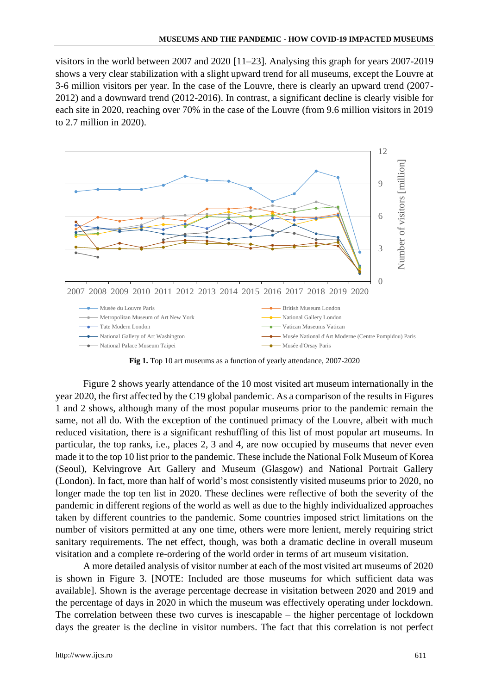visitors in the world between 2007 and 2020 [11–23]. Analysing this graph for years 2007-2019 shows a very clear stabilization with a slight upward trend for all museums, except the Louvre at 3-6 million visitors per year. In the case of the Louvre, there is clearly an upward trend (2007- 2012) and a downward trend (2012-2016). In contrast, a significant decline is clearly visible for each site in 2020, reaching over 70% in the case of the Louvre (from 9.6 million visitors in 2019 to 2.7 million in 2020).



**Fig 1.** Top 10 art museums as a function of yearly attendance, 2007-2020

Figure 2 shows yearly attendance of the 10 most visited art museum internationally in the year 2020, the first affected by the C19 global pandemic. As a comparison of the results in Figures 1 and 2 shows, although many of the most popular museums prior to the pandemic remain the same, not all do. With the exception of the continued primacy of the Louvre, albeit with much reduced visitation, there is a significant reshuffling of this list of most popular art museums. In particular, the top ranks, i.e., places 2, 3 and 4, are now occupied by museums that never even made it to the top 10 list prior to the pandemic. These include the National Folk Museum of Korea (Seoul), Kelvingrove Art Gallery and Museum (Glasgow) and National Portrait Gallery (London). In fact, more than half of world's most consistently visited museums prior to 2020, no longer made the top ten list in 2020. These declines were reflective of both the severity of the pandemic in different regions of the world as well as due to the highly individualized approaches taken by different countries to the pandemic. Some countries imposed strict limitations on the number of visitors permitted at any one time, others were more lenient, merely requiring strict sanitary requirements. The net effect, though, was both a dramatic decline in overall museum visitation and a complete re-ordering of the world order in terms of art museum visitation.

A more detailed analysis of visitor number at each of the most visited art museums of 2020 is shown in Figure 3. [NOTE: Included are those museums for which sufficient data was available]. Shown is the average percentage decrease in visitation between 2020 and 2019 and the percentage of days in 2020 in which the museum was effectively operating under lockdown. The correlation between these two curves is inescapable – the higher percentage of lockdown days the greater is the decline in visitor numbers. The fact that this correlation is not perfect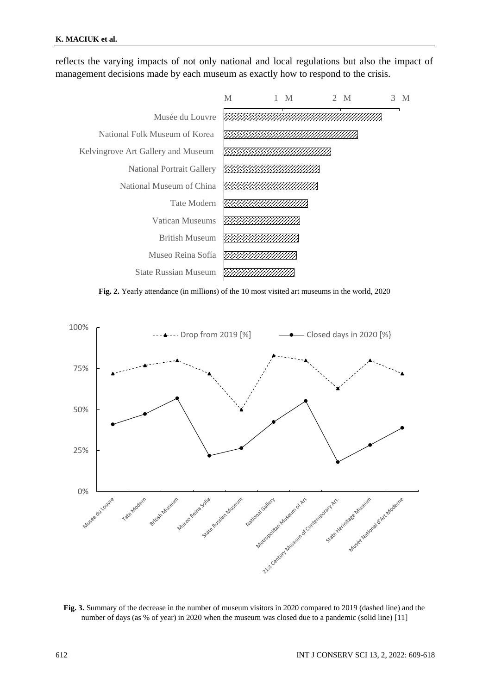reflects the varying impacts of not only national and local regulations but also the impact of management decisions made by each museum as exactly how to respond to the crisis.



**Fig. 2.** Yearly attendance (in millions) of the 10 most visited art museums in the world, 2020



**Fig. 3.** Summary of the decrease in the number of museum visitors in 2020 compared to 2019 (dashed line) and the number of days (as % of year) in 2020 when the museum was closed due to a pandemic (solid line) [11]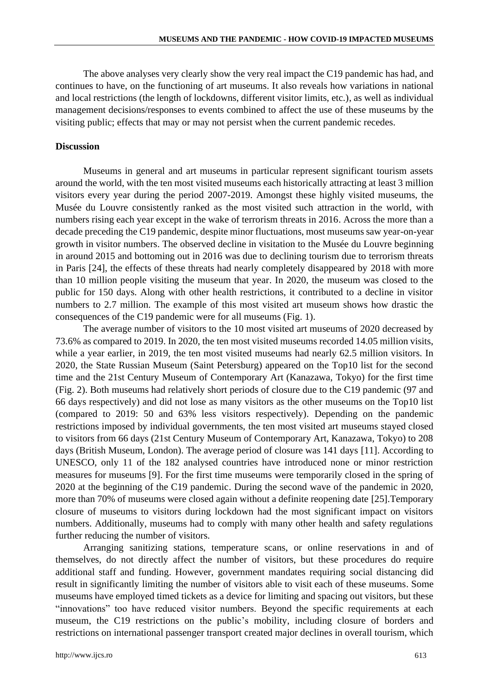The above analyses very clearly show the very real impact the C19 pandemic has had, and continues to have, on the functioning of art museums. It also reveals how variations in national and local restrictions (the length of lockdowns, different visitor limits, etc.), as well as individual management decisions/responses to events combined to affect the use of these museums by the visiting public; effects that may or may not persist when the current pandemic recedes.

### **Discussion**

Museums in general and art museums in particular represent significant tourism assets around the world, with the ten most visited museums each historically attracting at least 3 million visitors every year during the period 2007-2019. Amongst these highly visited museums, the Musée du Louvre consistently ranked as the most visited such attraction in the world, with numbers rising each year except in the wake of terrorism threats in 2016. Across the more than a decade preceding the C19 pandemic, despite minor fluctuations, most museums saw year-on-year growth in visitor numbers. The observed decline in visitation to the Musée du Louvre beginning in around 2015 and bottoming out in 2016 was due to declining tourism due to terrorism threats in Paris [24], the effects of these threats had nearly completely disappeared by 2018 with more than 10 million people visiting the museum that year. In 2020, the museum was closed to the public for 150 days. Along with other health restrictions, it contributed to a decline in visitor numbers to 2.7 million. The example of this most visited art museum shows how drastic the consequences of the C19 pandemic were for all museums (Fig. 1).

The average number of visitors to the 10 most visited art museums of 2020 decreased by 73.6% as compared to 2019. In 2020, the ten most visited museums recorded 14.05 million visits, while a year earlier, in 2019, the ten most visited museums had nearly 62.5 million visitors. In 2020, the State Russian Museum (Saint Petersburg) appeared on the Top10 list for the second time and the 21st Century Museum of Contemporary Art (Kanazawa, Tokyo) for the first time (Fig. 2). Both museums had relatively short periods of closure due to the C19 pandemic (97 and 66 days respectively) and did not lose as many visitors as the other museums on the Top10 list (compared to 2019: 50 and 63% less visitors respectively). Depending on the pandemic restrictions imposed by individual governments, the ten most visited art museums stayed closed to visitors from 66 days (21st Century Museum of Contemporary Art, Kanazawa, Tokyo) to 208 days (British Museum, London). The average period of closure was 141 days [11]. According to UNESCO, only 11 of the 182 analysed countries have introduced none or minor restriction measures for museums [9]. For the first time museums were temporarily closed in the spring of 2020 at the beginning of the C19 pandemic. During the second wave of the pandemic in 2020, more than 70% of museums were closed again without a definite reopening date [25].Temporary closure of museums to visitors during lockdown had the most significant impact on visitors numbers. Additionally, museums had to comply with many other health and safety regulations further reducing the number of visitors.

Arranging sanitizing stations, temperature scans, or online reservations in and of themselves, do not directly affect the number of visitors, but these procedures do require additional staff and funding. However, government mandates requiring social distancing did result in significantly limiting the number of visitors able to visit each of these museums. Some museums have employed timed tickets as a device for limiting and spacing out visitors, but these "innovations" too have reduced visitor numbers. Beyond the specific requirements at each museum, the C19 restrictions on the public's mobility, including closure of borders and restrictions on international passenger transport created major declines in overall tourism, which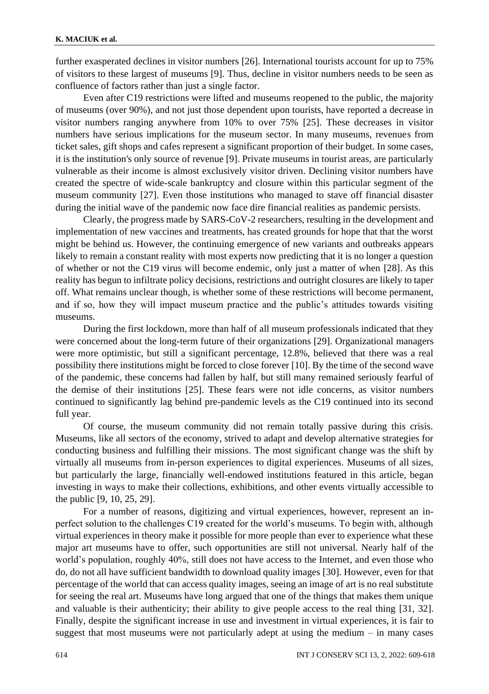further exasperated declines in visitor numbers [26]. International tourists account for up to 75% of visitors to these largest of museums [9]. Thus, decline in visitor numbers needs to be seen as confluence of factors rather than just a single factor.

Even after C19 restrictions were lifted and museums reopened to the public, the majority of museums (over 90%), and not just those dependent upon tourists, have reported a decrease in visitor numbers ranging anywhere from 10% to over 75% [25]. These decreases in visitor numbers have serious implications for the museum sector. In many museums, revenues from ticket sales, gift shops and cafes represent a significant proportion of their budget. In some cases, it is the institution's only source of revenue [9]. Private museums in tourist areas, are particularly vulnerable as their income is almost exclusively visitor driven. Declining visitor numbers have created the spectre of wide-scale bankruptcy and closure within this particular segment of the museum community [27]. Even those institutions who managed to stave off financial disaster during the initial wave of the pandemic now face dire financial realities as pandemic persists.

Clearly, the progress made by SARS-CoV-2 researchers, resulting in the development and implementation of new vaccines and treatments, has created grounds for hope that that the worst might be behind us. However, the continuing emergence of new variants and outbreaks appears likely to remain a constant reality with most experts now predicting that it is no longer a question of whether or not the C19 virus will become endemic, only just a matter of when [28]. As this reality has begun to infiltrate policy decisions, restrictions and outright closures are likely to taper off. What remains unclear though, is whether some of these restrictions will become permanent, and if so, how they will impact museum practice and the public's attitudes towards visiting museums.

During the first lockdown, more than half of all museum professionals indicated that they were concerned about the long-term future of their organizations [29]. Organizational managers were more optimistic, but still a significant percentage, 12.8%, believed that there was a real possibility there institutions might be forced to close forever [10]. By the time of the second wave of the pandemic, these concerns had fallen by half, but still many remained seriously fearful of the demise of their institutions [25]. These fears were not idle concerns, as visitor numbers continued to significantly lag behind pre-pandemic levels as the C19 continued into its second full year.

Of course, the museum community did not remain totally passive during this crisis. Museums, like all sectors of the economy, strived to adapt and develop alternative strategies for conducting business and fulfilling their missions. The most significant change was the shift by virtually all museums from in-person experiences to digital experiences. Museums of all sizes, but particularly the large, financially well-endowed institutions featured in this article, began investing in ways to make their collections, exhibitions, and other events virtually accessible to the public [9, 10, 25, 29].

For a number of reasons, digitizing and virtual experiences, however, represent an inperfect solution to the challenges C19 created for the world's museums. To begin with, although virtual experiences in theory make it possible for more people than ever to experience what these major art museums have to offer, such opportunities are still not universal. Nearly half of the world's population, roughly 40%, still does not have access to the Internet, and even those who do, do not all have sufficient bandwidth to download quality images [30]. However, even for that percentage of the world that can access quality images, seeing an image of art is no real substitute for seeing the real art. Museums have long argued that one of the things that makes them unique and valuable is their authenticity; their ability to give people access to the real thing [31, 32]. Finally, despite the significant increase in use and investment in virtual experiences, it is fair to suggest that most museums were not particularly adept at using the medium  $-$  in many cases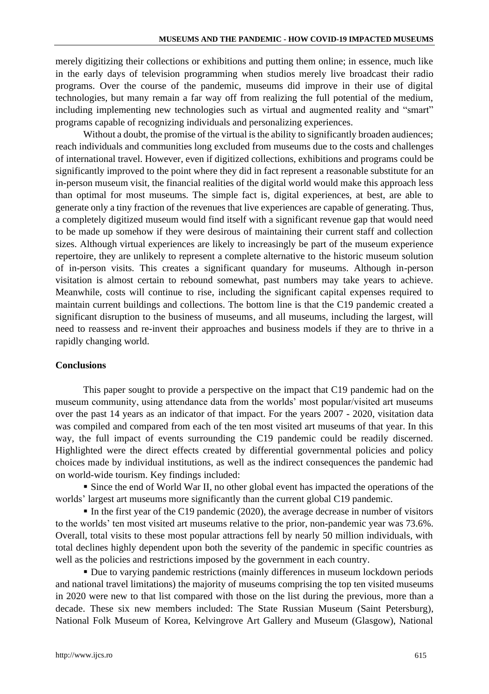merely digitizing their collections or exhibitions and putting them online; in essence, much like in the early days of television programming when studios merely live broadcast their radio programs. Over the course of the pandemic, museums did improve in their use of digital technologies, but many remain a far way off from realizing the full potential of the medium, including implementing new technologies such as virtual and augmented reality and "smart" programs capable of recognizing individuals and personalizing experiences.

Without a doubt, the promise of the virtual is the ability to significantly broaden audiences; reach individuals and communities long excluded from museums due to the costs and challenges of international travel. However, even if digitized collections, exhibitions and programs could be significantly improved to the point where they did in fact represent a reasonable substitute for an in-person museum visit, the financial realities of the digital world would make this approach less than optimal for most museums. The simple fact is, digital experiences, at best, are able to generate only a tiny fraction of the revenues that live experiences are capable of generating. Thus, a completely digitized museum would find itself with a significant revenue gap that would need to be made up somehow if they were desirous of maintaining their current staff and collection sizes. Although virtual experiences are likely to increasingly be part of the museum experience repertoire, they are unlikely to represent a complete alternative to the historic museum solution of in-person visits. This creates a significant quandary for museums. Although in-person visitation is almost certain to rebound somewhat, past numbers may take years to achieve. Meanwhile, costs will continue to rise, including the significant capital expenses required to maintain current buildings and collections. The bottom line is that the C19 pandemic created a significant disruption to the business of museums, and all museums, including the largest, will need to reassess and re-invent their approaches and business models if they are to thrive in a rapidly changing world.

### **Conclusions**

This paper sought to provide a perspective on the impact that C19 pandemic had on the museum community, using attendance data from the worlds' most popular/visited art museums over the past 14 years as an indicator of that impact. For the years 2007 - 2020, visitation data was compiled and compared from each of the ten most visited art museums of that year. In this way, the full impact of events surrounding the C19 pandemic could be readily discerned. Highlighted were the direct effects created by differential governmental policies and policy choices made by individual institutions, as well as the indirect consequences the pandemic had on world-wide tourism. Key findings included:

▪ Since the end of World War II, no other global event has impacted the operations of the worlds' largest art museums more significantly than the current global C19 pandemic.

▪ In the first year of the C19 pandemic (2020), the average decrease in number of visitors to the worlds' ten most visited art museums relative to the prior, non-pandemic year was 73.6%. Overall, total visits to these most popular attractions fell by nearly 50 million individuals, with total declines highly dependent upon both the severity of the pandemic in specific countries as well as the policies and restrictions imposed by the government in each country.

▪ Due to varying pandemic restrictions (mainly differences in museum lockdown periods and national travel limitations) the majority of museums comprising the top ten visited museums in 2020 were new to that list compared with those on the list during the previous, more than a decade. These six new members included: The State Russian Museum (Saint Petersburg), National Folk Museum of Korea, Kelvingrove Art Gallery and Museum (Glasgow), National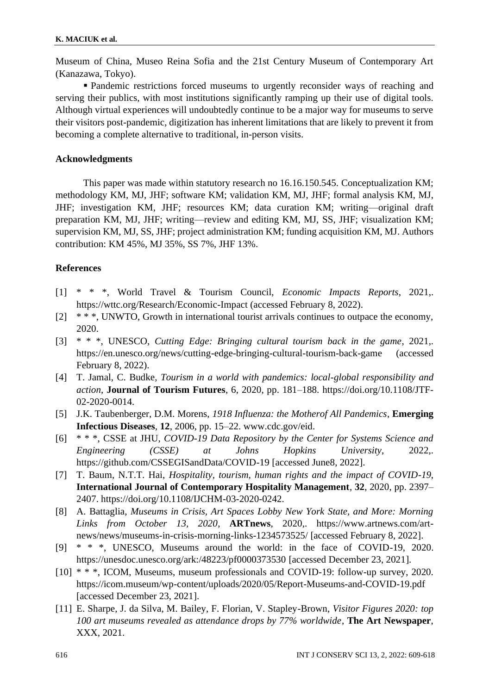Museum of China, Museo Reina Sofia and the 21st Century Museum of Contemporary Art (Kanazawa, Tokyo).

▪ Pandemic restrictions forced museums to urgently reconsider ways of reaching and serving their publics, with most institutions significantly ramping up their use of digital tools. Although virtual experiences will undoubtedly continue to be a major way for museums to serve their visitors post-pandemic, digitization has inherent limitations that are likely to prevent it from becoming a complete alternative to traditional, in-person visits.

## **Acknowledgments**

This paper was made within statutory research no 16.16.150.545. Conceptualization KM; methodology KM, MJ, JHF; software KM; validation KM, MJ, JHF; formal analysis KM, MJ, JHF; investigation KM, JHF; resources KM; data curation KM; writing—original draft preparation KM, MJ, JHF; writing—review and editing KM, MJ, SS, JHF; visualization KM; supervision KM, MJ, SS, JHF; project administration KM; funding acquisition KM, MJ. Authors contribution: KM 45%, MJ 35%, SS 7%, JHF 13%.

# **References**

- [1] \* \* \*, World Travel & Tourism Council, *Economic Impacts Reports*, 2021,. https://wttc.org/Research/Economic-Impact (accessed February 8, 2022).
- [2] \* \* \*, UNWTO, Growth in international tourist arrivals continues to outpace the economy, 2020.
- [3] \* \* \*, UNESCO, *Cutting Edge: Bringing cultural tourism back in the game*, 2021,. https://en.unesco.org/news/cutting-edge-bringing-cultural-tourism-back-game (accessed February 8, 2022).
- [4] T. Jamal, C. Budke, *Tourism in a world with pandemics: local-global responsibility and action*, **Journal of Tourism Futures**, 6, 2020, pp. 181–188. https://doi.org/10.1108/JTF-02-2020-0014.
- [5] J.K. Taubenberger, D.M. Morens, *1918 Influenza: the Motherof All Pandemics*, **Emerging Infectious Diseases**, **12**, 2006, pp. 15–22. www.cdc.gov/eid.
- [6] \* \* \*, CSSE at JHU, *COVID-19 Data Repository by the Center for Systems Science and Engineering (CSSE) at Johns Hopkins University*, 2022,. https://github.com/CSSEGISandData/COVID-19 [accessed June8, 2022].
- [7] T. Baum, N.T.T. Hai, *Hospitality, tourism, human rights and the impact of COVID-19*, **International Journal of Contemporary Hospitality Management**, **32**, 2020, pp. 2397– 2407. https://doi.org/10.1108/IJCHM-03-2020-0242.
- [8] A. Battaglia, *Museums in Crisis, Art Spaces Lobby New York State, and More: Morning Links from October 13, 2020*, **ARTnews**, 2020,. https://www.artnews.com/artnews/news/museums-in-crisis-morning-links-1234573525/ [accessed February 8, 2022].
- [9] \* \* \*, UNESCO, Museums around the world: in the face of COVID-19, 2020. https://unesdoc.unesco.org/ark:/48223/pf0000373530 [accessed December 23, 2021].
- [10] \* \* \*, ICOM, Museums, museum professionals and COVID-19: follow-up survey, 2020. https://icom.museum/wp-content/uploads/2020/05/Report-Museums-and-COVID-19.pdf [accessed December 23, 2021].
- [11] E. Sharpe, J. da Silva, M. Bailey, F. Florian, V. Stapley-Brown, *Visitor Figures 2020: top 100 art museums revealed as attendance drops by 77% worldwide*, **The Art Newspaper**, XXX, 2021.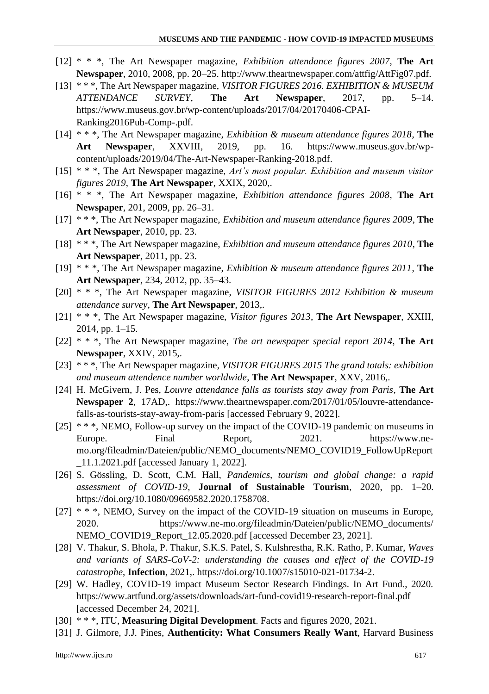- [12] \* \* \*, The Art Newspaper magazine, *Exhibition attendance figures 2007*, **The Art Newspaper**, 2010, 2008, pp. 20–25. http://www.theartnewspaper.com/attfig/AttFig07.pdf.
- [13] \* \* \*, The Art Newspaper magazine, *VISITOR FIGURES 2016. EXHIBITION & MUSEUM ATTENDANCE SURVEY*, **The Art Newspaper**, 2017, pp. 5–14. https://www.museus.gov.br/wp-content/uploads/2017/04/20170406-CPAI-Ranking2016Pub-Comp-.pdf.
- [14] \* \* \*, The Art Newspaper magazine, *Exhibition & museum attendance figures 2018*, **The Art Newspaper**, XXVIII, 2019, pp. 16. https://www.museus.gov.br/wpcontent/uploads/2019/04/The-Art-Newspaper-Ranking-2018.pdf.
- [15] \* \* \*, The Art Newspaper magazine, *Art's most popular. Exhibition and museum visitor figures 2019*, **The Art Newspaper**, XXIX, 2020,.
- [16] \* \* \*, The Art Newspaper magazine, *Exhibition attendance figures 2008*, **The Art Newspaper**, 201, 2009, pp. 26–31.
- [17] \* \* \*, The Art Newspaper magazine, *Exhibition and museum attendance figures 2009*, **The Art Newspaper**, 2010, pp. 23.
- [18] \* \* \*, The Art Newspaper magazine, *Exhibition and museum attendance figures 2010*, **The Art Newspaper**, 2011, pp. 23.
- [19] \* \* \*, The Art Newspaper magazine, *Exhibition & museum attendance figures 2011*, **The Art Newspaper**, 234, 2012, pp. 35–43.
- [20] \* \* \*, The Art Newspaper magazine, *VISITOR FIGURES 2012 Exhibition & museum attendance survey*, **The Art Newspaper**, 2013,.
- [21] \* \* \*, The Art Newspaper magazine, *Visitor figures 2013*, **The Art Newspaper**, XXIII, 2014, pp. 1–15.
- [22] \* \* \*, The Art Newspaper magazine, *The art newspaper special report 2014*, **The Art Newspaper**, XXIV, 2015,.
- [23] \* \* \*, The Art Newspaper magazine, *VISITOR FIGURES 2015 The grand totals: exhibition and museum attendence number worldwide*, **The Art Newspaper**, XXV, 2016,.
- [24] H. McGivern, J. Pes, *Louvre attendance falls as tourists stay away from Paris*, **The Art Newspaper 2**, 17AD,. https://www.theartnewspaper.com/2017/01/05/louvre-attendancefalls-as-tourists-stay-away-from-paris [accessed February 9, 2022].
- [25] \* \* \*, NEMO, Follow-up survey on the impact of the COVID-19 pandemic on museums in Europe. Final Report, 2021. https://www.nemo.org/fileadmin/Dateien/public/NEMO\_documents/NEMO\_COVID19\_FollowUpReport \_11.1.2021.pdf [accessed January 1, 2022].
- [26] S. Gössling, D. Scott, C.M. Hall, *Pandemics, tourism and global change: a rapid assessment of COVID-19*, **Journal of Sustainable Tourism**, 2020, pp. 1–20. https://doi.org/10.1080/09669582.2020.1758708.
- [27] \* \* \*, NEMO, Survey on the impact of the COVID-19 situation on museums in Europe, 2020. https://www.ne-mo.org/fileadmin/Dateien/public/NEMO\_documents/ NEMO\_COVID19\_Report\_12.05.2020.pdf [accessed December 23, 2021].
- [28] V. Thakur, S. Bhola, P. Thakur, S.K.S. Patel, S. Kulshrestha, R.K. Ratho, P. Kumar, *Waves and variants of SARS-CoV-2: understanding the causes and effect of the COVID-19 catastrophe*, **Infection**, 2021,. https://doi.org/10.1007/s15010-021-01734-2.
- [29] W. Hadley, COVID-19 impact Museum Sector Research Findings. In Art Fund., 2020. https://www.artfund.org/assets/downloads/art-fund-covid19-research-report-final.pdf [accessed December 24, 2021].
- [30] \* \* \*, ITU, **Measuring Digital Development**. Facts and figures 2020, 2021.
- [31] J. Gilmore, J.J. Pines, **Authenticity: What Consumers Really Want**, Harvard Business